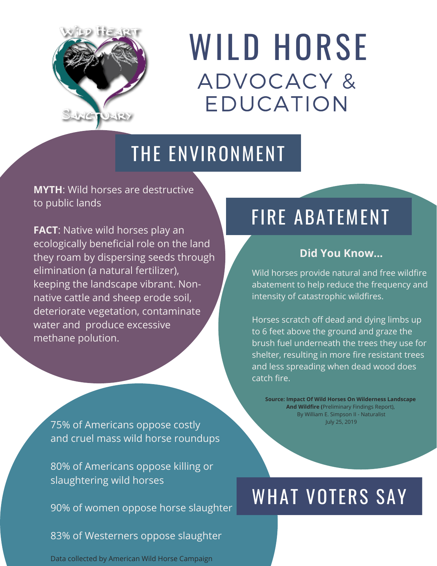

# WILD HORSE ADVOCACY & EDUCATION

#### THE ENVIRONMENT

**MYTH**: Wild horses are destructive to public lands

**FACT**: Native wild horses play an ecologically beneficial role on the land they roam by dispersing seeds through elimination (a natural fertilizer), keeping the landscape vibrant. Nonnative cattle and sheep erode soil, deteriorate vegetation, contaminate water and produce excessive methane polution.

75% of Americans oppose costly and cruel mass wild horse roundups

80% of Americans oppose killing or slaughtering wild horses

90% of women oppose horse slaughter

83% of Westerners oppose slaughter

Data collected by American Wild Horse Campaign

### FIRE ABATEMENT

#### **Did You Know...**

Wild horses provide natural and free wildfire abatement to help reduce the frequency and intensity of catastrophic wildfires.

Horses scratch off dead and dying limbs up to 6 feet above the ground and graze the brush fuel underneath the trees they use for shelter, resulting in more fire resistant trees and less spreading when dead wood does catch fire.

**Source: Impact Of Wild Horses On Wilderness Landscape And Wildfire (**Preliminary Findings Report), By William E. Simpson II - Naturalist July 25, 2019

## WHAT VOTERS SAY